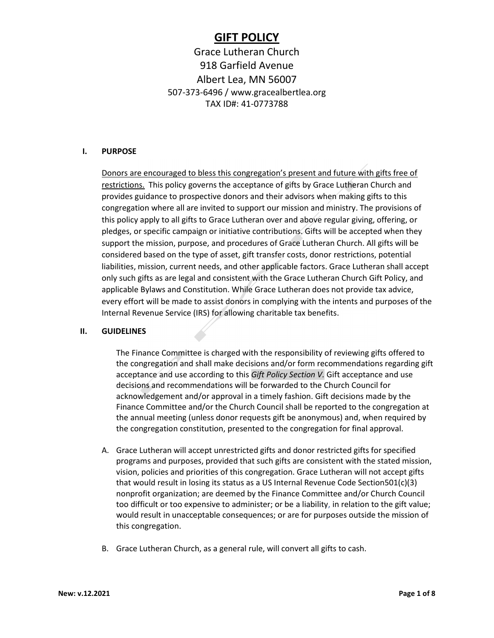# GIFT POLICY

# Grace Lutheran Church 918 Garfield Avenue Albert Lea, MN 56007 507-373-6496 / www.gracealbertlea.org TAX ID#: 41-0773788

#### I. PURPOSE

Donors are encouraged to bless this congregation's present and future with gifts free of restrictions. This policy governs the acceptance of gifts by Grace Lutheran Church and provides guidance to prospective donors and their advisors when making gifts to this congregation where all are invited to support our mission and ministry. The provisions of this policy apply to all gifts to Grace Lutheran over and above regular giving, offering, or pledges, or specific campaign or initiative contributions. Gifts will be accepted when they support the mission, purpose, and procedures of Grace Lutheran Church. All gifts will be considered based on the type of asset, gift transfer costs, donor restrictions, potential liabilities, mission, current needs, and other applicable factors. Grace Lutheran shall accept only such gifts as are legal and consistent with the Grace Lutheran Church Gift Policy, and applicable Bylaws and Constitution. While Grace Lutheran does not provide tax advice, every effort will be made to assist donors in complying with the intents and purposes of the Internal Revenue Service (IRS) for allowing charitable tax benefits.

#### II. GUIDELINES

The Finance Committee is charged with the responsibility of reviewing gifts offered to the congregation and shall make decisions and/or form recommendations regarding gift acceptance and use according to this Gift Policy Section V. Gift acceptance and use decisions and recommendations will be forwarded to the Church Council for acknowledgement and/or approval in a timely fashion. Gift decisions made by the Finance Committee and/or the Church Council shall be reported to the congregation at the annual meeting (unless donor requests gift be anonymous) and, when required by the congregation constitution, presented to the congregation for final approval.

- A. Grace Lutheran will accept unrestricted gifts and donor restricted gifts for specified programs and purposes, provided that such gifts are consistent with the stated mission, vision, policies and priorities of this congregation. Grace Lutheran will not accept gifts that would result in losing its status as a US Internal Revenue Code Section501(c)(3) nonprofit organization; are deemed by the Finance Committee and/or Church Council too difficult or too expensive to administer; or be a liability, in relation to the gift value; would result in unacceptable consequences; or are for purposes outside the mission of this congregation.
- B. Grace Lutheran Church, as a general rule, will convert all gifts to cash.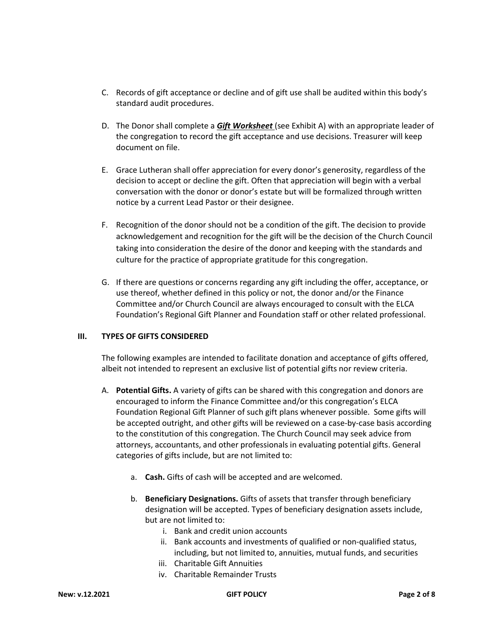- C. Records of gift acceptance or decline and of gift use shall be audited within this body's standard audit procedures.
- D. The Donor shall complete a **Gift Worksheet** (see Exhibit A) with an appropriate leader of the congregation to record the gift acceptance and use decisions. Treasurer will keep document on file.
- E. Grace Lutheran shall offer appreciation for every donor's generosity, regardless of the decision to accept or decline the gift. Often that appreciation will begin with a verbal conversation with the donor or donor's estate but will be formalized through written notice by a current Lead Pastor or their designee.
- F. Recognition of the donor should not be a condition of the gift. The decision to provide acknowledgement and recognition for the gift will be the decision of the Church Council taking into consideration the desire of the donor and keeping with the standards and culture for the practice of appropriate gratitude for this congregation.
- G. If there are questions or concerns regarding any gift including the offer, acceptance, or use thereof, whether defined in this policy or not, the donor and/or the Finance Committee and/or Church Council are always encouraged to consult with the ELCA Foundation's Regional Gift Planner and Foundation staff or other related professional.

## III. TYPES OF GIFTS CONSIDERED

The following examples are intended to facilitate donation and acceptance of gifts offered, albeit not intended to represent an exclusive list of potential gifts nor review criteria.

- A. Potential Gifts. A variety of gifts can be shared with this congregation and donors are encouraged to inform the Finance Committee and/or this congregation's ELCA Foundation Regional Gift Planner of such gift plans whenever possible. Some gifts will be accepted outright, and other gifts will be reviewed on a case-by-case basis according to the constitution of this congregation. The Church Council may seek advice from attorneys, accountants, and other professionals in evaluating potential gifts. General categories of gifts include, but are not limited to:
	- a. Cash. Gifts of cash will be accepted and are welcomed.
	- b. Beneficiary Designations. Gifts of assets that transfer through beneficiary designation will be accepted. Types of beneficiary designation assets include, but are not limited to:
		- i. Bank and credit union accounts
		- ii. Bank accounts and investments of qualified or non-qualified status, including, but not limited to, annuities, mutual funds, and securities
		- iii. Charitable Gift Annuities
		- iv. Charitable Remainder Trusts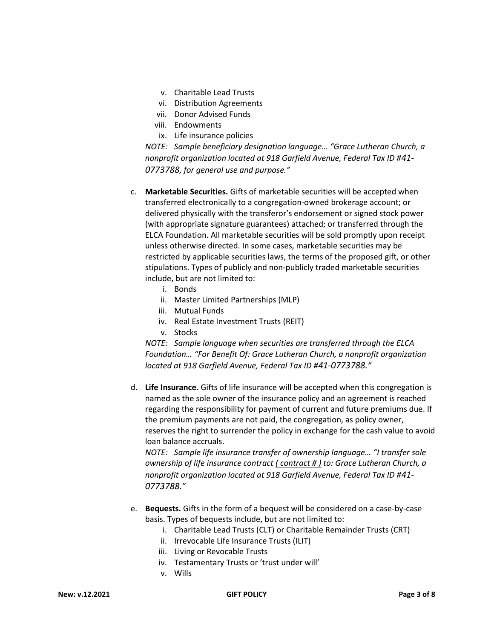- v. Charitable Lead Trusts
- vi. Distribution Agreements
- vii. Donor Advised Funds
- viii. Endowments
- ix. Life insurance policies

NOTE: Sample beneficiary designation language… "Grace Lutheran Church, a nonprofit organization located at 918 Garfield Avenue, Federal Tax ID #41- 0773788, for general use and purpose."

- c. Marketable Securities. Gifts of marketable securities will be accepted when transferred electronically to a congregation-owned brokerage account; or delivered physically with the transferor's endorsement or signed stock power (with appropriate signature guarantees) attached; or transferred through the ELCA Foundation. All marketable securities will be sold promptly upon receipt unless otherwise directed. In some cases, marketable securities may be restricted by applicable securities laws, the terms of the proposed gift, or other stipulations. Types of publicly and non-publicly traded marketable securities include, but are not limited to:
	- i. Bonds
	- ii. Master Limited Partnerships (MLP)
	- iii. Mutual Funds
	- iv. Real Estate Investment Trusts (REIT)
	- v. Stocks

NOTE: Sample language when securities are transferred through the ELCA Foundation… "For Benefit Of: Grace Lutheran Church, a nonprofit organization located at 918 Garfield Avenue, Federal Tax ID #41-0773788."

d. Life Insurance. Gifts of life insurance will be accepted when this congregation is named as the sole owner of the insurance policy and an agreement is reached regarding the responsibility for payment of current and future premiums due. If the premium payments are not paid, the congregation, as policy owner, reserves the right to surrender the policy in exchange for the cash value to avoid loan balance accruals.

NOTE: Sample life insurance transfer of ownership language… "I transfer sole ownership of life insurance contract ( contract # ) to: Grace Lutheran Church, a nonprofit organization located at 918 Garfield Avenue, Federal Tax ID #41- 0773788."

- e. Bequests. Gifts in the form of a bequest will be considered on a case-by-case basis. Types of bequests include, but are not limited to:
	- i. Charitable Lead Trusts (CLT) or Charitable Remainder Trusts (CRT)
	- ii. Irrevocable Life Insurance Trusts (ILIT)
	- iii. Living or Revocable Trusts
	- iv. Testamentary Trusts or 'trust under will'
	- v. Wills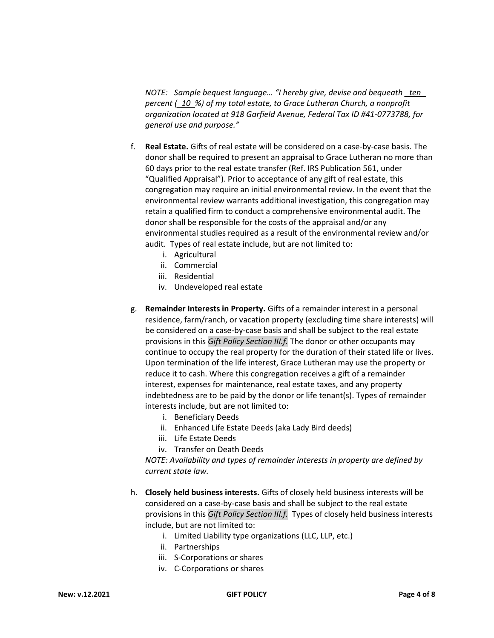NOTE: Sample bequest language... "I hereby give, devise and bequeath ten percent (\_10\_%) of my total estate, to Grace Lutheran Church, a nonprofit organization located at 918 Garfield Avenue, Federal Tax ID #41-0773788, for general use and purpose."

- f. Real Estate. Gifts of real estate will be considered on a case-by-case basis. The donor shall be required to present an appraisal to Grace Lutheran no more than 60 days prior to the real estate transfer (Ref. IRS Publication 561, under "Qualified Appraisal"). Prior to acceptance of any gift of real estate, this congregation may require an initial environmental review. In the event that the environmental review warrants additional investigation, this congregation may retain a qualified firm to conduct a comprehensive environmental audit. The donor shall be responsible for the costs of the appraisal and/or any environmental studies required as a result of the environmental review and/or audit. Types of real estate include, but are not limited to:
	- i. Agricultural
	- ii. Commercial
	- iii. Residential
	- iv. Undeveloped real estate
- g. Remainder Interests in Property. Gifts of a remainder interest in a personal residence, farm/ranch, or vacation property (excluding time share interests) will be considered on a case-by-case basis and shall be subject to the real estate provisions in this Gift Policy Section III.f. The donor or other occupants may continue to occupy the real property for the duration of their stated life or lives. Upon termination of the life interest, Grace Lutheran may use the property or reduce it to cash. Where this congregation receives a gift of a remainder interest, expenses for maintenance, real estate taxes, and any property indebtedness are to be paid by the donor or life tenant(s). Types of remainder interests include, but are not limited to:
	- i. Beneficiary Deeds
	- ii. Enhanced Life Estate Deeds (aka Lady Bird deeds)
	- iii. Life Estate Deeds
	- iv. Transfer on Death Deeds

NOTE: Availability and types of remainder interests in property are defined by current state law.

- h. Closely held business interests. Gifts of closely held business interests will be considered on a case-by-case basis and shall be subject to the real estate provisions in this Gift Policy Section III.f. Types of closely held business interests include, but are not limited to:
	- i. Limited Liability type organizations (LLC, LLP, etc.)
	- ii. Partnerships
	- iii. S-Corporations or shares
	- iv. C-Corporations or shares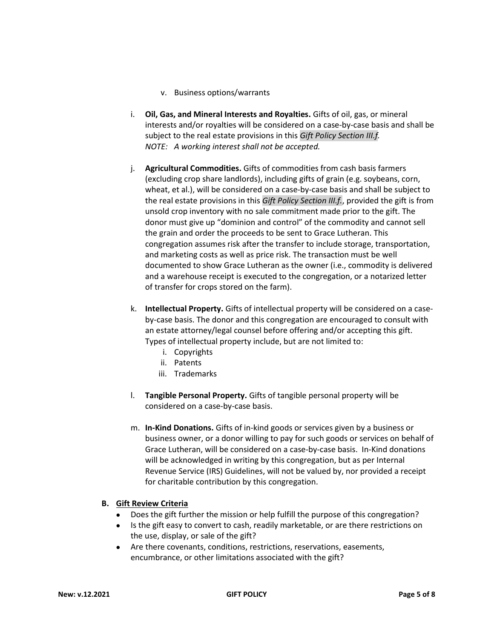#### v. Business options/warrants

- i. Oil, Gas, and Mineral Interests and Royalties. Gifts of oil, gas, or mineral interests and/or royalties will be considered on a case-by-case basis and shall be subject to the real estate provisions in this Gift Policy Section III.f. NOTE: A working interest shall not be accepted.
- j. Agricultural Commodities. Gifts of commodities from cash basis farmers (excluding crop share landlords), including gifts of grain (e.g. soybeans, corn, wheat, et al.), will be considered on a case-by-case basis and shall be subject to the real estate provisions in this Gift Policy Section III.f., provided the gift is from unsold crop inventory with no sale commitment made prior to the gift. The donor must give up "dominion and control" of the commodity and cannot sell the grain and order the proceeds to be sent to Grace Lutheran. This congregation assumes risk after the transfer to include storage, transportation, and marketing costs as well as price risk. The transaction must be well documented to show Grace Lutheran as the owner (i.e., commodity is delivered and a warehouse receipt is executed to the congregation, or a notarized letter of transfer for crops stored on the farm).
- k. Intellectual Property. Gifts of intellectual property will be considered on a caseby-case basis. The donor and this congregation are encouraged to consult with an estate attorney/legal counsel before offering and/or accepting this gift. Types of intellectual property include, but are not limited to:
	- i. Copyrights
	- ii. Patents
	- iii. Trademarks
- l. Tangible Personal Property. Gifts of tangible personal property will be considered on a case-by-case basis.
- m. In-Kind Donations. Gifts of in-kind goods or services given by a business or business owner, or a donor willing to pay for such goods or services on behalf of Grace Lutheran, will be considered on a case-by-case basis. In-Kind donations will be acknowledged in writing by this congregation, but as per Internal Revenue Service (IRS) Guidelines, will not be valued by, nor provided a receipt for charitable contribution by this congregation.

## B. Gift Review Criteria

- Does the gift further the mission or help fulfill the purpose of this congregation?
- Is the gift easy to convert to cash, readily marketable, or are there restrictions on the use, display, or sale of the gift?
- Are there covenants, conditions, restrictions, reservations, easements, encumbrance, or other limitations associated with the gift?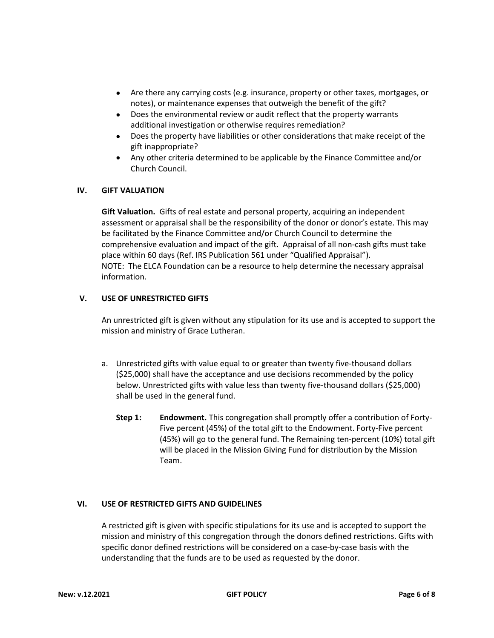- Are there any carrying costs (e.g. insurance, property or other taxes, mortgages, or notes), or maintenance expenses that outweigh the benefit of the gift?
- Does the environmental review or audit reflect that the property warrants additional investigation or otherwise requires remediation?
- Does the property have liabilities or other considerations that make receipt of the gift inappropriate?
- Any other criteria determined to be applicable by the Finance Committee and/or Church Council.

## IV. GIFT VALUATION

Gift Valuation. Gifts of real estate and personal property, acquiring an independent assessment or appraisal shall be the responsibility of the donor or donor's estate. This may be facilitated by the Finance Committee and/or Church Council to determine the comprehensive evaluation and impact of the gift. Appraisal of all non-cash gifts must take place within 60 days (Ref. IRS Publication 561 under "Qualified Appraisal"). NOTE: The ELCA Foundation can be a resource to help determine the necessary appraisal information.

#### V. USE OF UNRESTRICTED GIFTS

An unrestricted gift is given without any stipulation for its use and is accepted to support the mission and ministry of Grace Lutheran.

- a. Unrestricted gifts with value equal to or greater than twenty five-thousand dollars (\$25,000) shall have the acceptance and use decisions recommended by the policy below. Unrestricted gifts with value less than twenty five-thousand dollars (\$25,000) shall be used in the general fund.
	- Step 1: Endowment. This congregation shall promptly offer a contribution of Forty-Five percent (45%) of the total gift to the Endowment. Forty-Five percent (45%) will go to the general fund. The Remaining ten-percent (10%) total gift will be placed in the Mission Giving Fund for distribution by the Mission Team.

## VI. USE OF RESTRICTED GIFTS AND GUIDELINES

A restricted gift is given with specific stipulations for its use and is accepted to support the mission and ministry of this congregation through the donors defined restrictions. Gifts with specific donor defined restrictions will be considered on a case-by-case basis with the understanding that the funds are to be used as requested by the donor.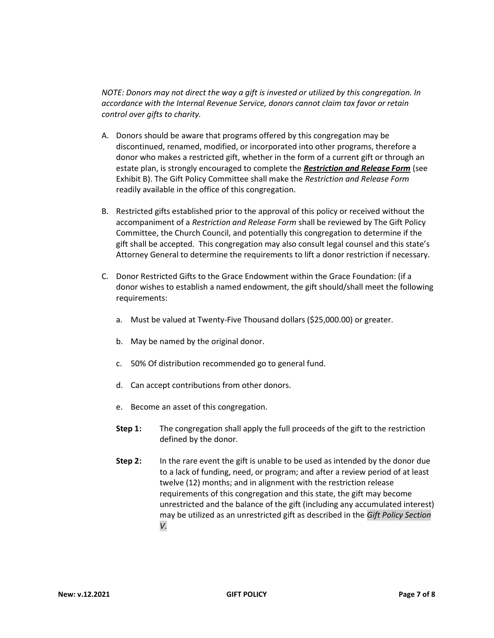NOTE: Donors may not direct the way a gift is invested or utilized by this congregation. In accordance with the Internal Revenue Service, donors cannot claim tax favor or retain control over gifts to charity.

- A. Donors should be aware that programs offered by this congregation may be discontinued, renamed, modified, or incorporated into other programs, therefore a donor who makes a restricted gift, whether in the form of a current gift or through an estate plan, is strongly encouraged to complete the Restriction and Release Form (see Exhibit B). The Gift Policy Committee shall make the Restriction and Release Form readily available in the office of this congregation.
- B. Restricted gifts established prior to the approval of this policy or received without the accompaniment of a Restriction and Release Form shall be reviewed by The Gift Policy Committee, the Church Council, and potentially this congregation to determine if the gift shall be accepted. This congregation may also consult legal counsel and this state's Attorney General to determine the requirements to lift a donor restriction if necessary.
- C. Donor Restricted Gifts to the Grace Endowment within the Grace Foundation: (if a donor wishes to establish a named endowment, the gift should/shall meet the following requirements:
	- a. Must be valued at Twenty-Five Thousand dollars (\$25,000.00) or greater.
	- b. May be named by the original donor.
	- c. 50% Of distribution recommended go to general fund.
	- d. Can accept contributions from other donors.
	- e. Become an asset of this congregation.
	- **Step 1:** The congregation shall apply the full proceeds of the gift to the restriction defined by the donor.
	- Step 2: In the rare event the gift is unable to be used as intended by the donor due to a lack of funding, need, or program; and after a review period of at least twelve (12) months; and in alignment with the restriction release requirements of this congregation and this state, the gift may become unrestricted and the balance of the gift (including any accumulated interest) may be utilized as an unrestricted gift as described in the Gift Policy Section V.